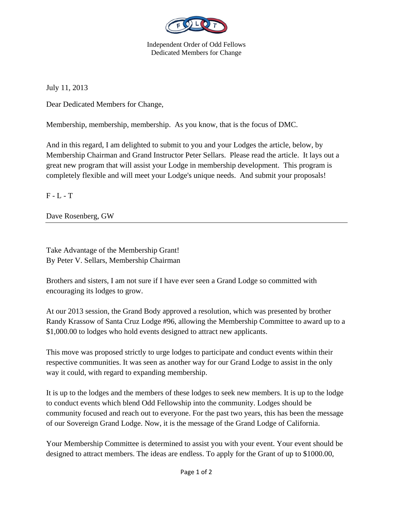

Independent Order of Odd Fellows Dedicated Members for Change

July 11, 2013

Dear Dedicated Members for Change,

Membership, membership, membership. As you know, that is the focus of DMC.

And in this regard, I am delighted to submit to you and your Lodges the article, below, by Membership Chairman and Grand Instructor Peter Sellars. Please read the article. It lays out a great new program that will assist your Lodge in membership development. This program is completely flexible and will meet your Lodge's unique needs. And submit your proposals!

 $F - L - T$ 

Dave Rosenberg, GW

Take Advantage of the Membership Grant! By Peter V. Sellars, Membership Chairman

Brothers and sisters, I am not sure if I have ever seen a Grand Lodge so committed with encouraging its lodges to grow.

At our 2013 session, the Grand Body approved a resolution, which was presented by brother Randy Krassow of Santa Cruz Lodge #96, allowing the Membership Committee to award up to a \$1,000.00 to lodges who hold events designed to attract new applicants.

This move was proposed strictly to urge lodges to participate and conduct events within their respective communities. It was seen as another way for our Grand Lodge to assist in the only way it could, with regard to expanding membership.

It is up to the lodges and the members of these lodges to seek new members. It is up to the lodge to conduct events which blend Odd Fellowship into the community. Lodges should be community focused and reach out to everyone. For the past two years, this has been the message of our Sovereign Grand Lodge. Now, it is the message of the Grand Lodge of California.

Your Membership Committee is determined to assist you with your event. Your event should be designed to attract members. The ideas are endless. To apply for the Grant of up to \$1000.00,